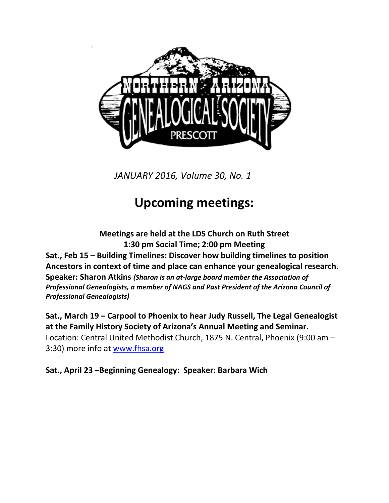

*JANUARY 2016, Volume 30, No. 1*

# **Upcoming meetings:**

**Meetings are held at the LDS Church on Ruth Street 1:30 pm Social Time; 2:00 pm Meeting Sat., Feb 15 – Building Timelines: Discover how building timelines to position Ancestors in context of time and place can enhance your genealogical research. Speaker: Sharon Atkins** *(Sharon is an at-large board member the Association of Professional Genealogists, a member of NAGS and Past President of the Arizona Council of Professional Genealogists)*

**Sat., March 19 – Carpool to Phoenix to hear Judy Russell, The Legal Genealogist at the Family History Society of Arizona's Annual Meeting and Seminar.**  Location: Central United Methodist Church, 1875 N. Central, Phoenix (9:00 am – 3:30) more info at [www.fhsa.org](http://www.fhsa.org/)

**Sat., April 23 –Beginning Genealogy: Speaker: Barbara Wich**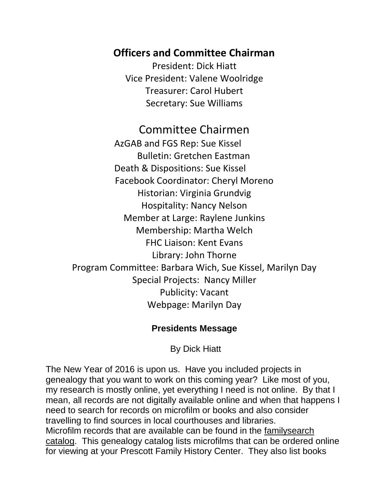## **Officers and Committee Chairman**

President: Dick Hiatt Vice President: Valene Woolridge Treasurer: Carol Hubert Secretary: Sue Williams

Committee Chairmen AzGAB and FGS Rep: Sue Kissel Bulletin: Gretchen Eastman Death & Dispositions: Sue Kissel Facebook Coordinator: Cheryl Moreno Historian: Virginia Grundvig Hospitality: Nancy Nelson Member at Large: Raylene Junkins Membership: Martha Welch FHC Liaison: Kent Evans Library: John Thorne Program Committee: Barbara Wich, Sue Kissel, Marilyn Day Special Projects: Nancy Miller Publicity: Vacant Webpage: Marilyn Day

#### **Presidents Message**

By Dick Hiatt

The New Year of 2016 is upon us. Have you included projects in genealogy that you want to work on this coming year? Like most of you, my research is mostly online, yet everything I need is not online. By that I mean, all records are not digitally available online and when that happens I need to search for records on microfilm or books and also consider travelling to find sources in local courthouses and libraries. Microfilm records that are available can be found in the familysearch catalog. This genealogy catalog lists microfilms that can be ordered online for viewing at your Prescott Family History Center. They also list books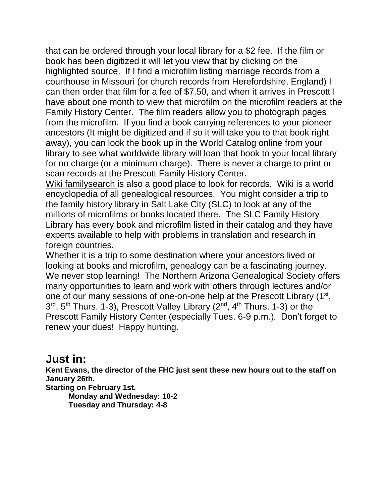that can be ordered through your local library for a \$2 fee. If the film or book has been digitized it will let you view that by clicking on the highlighted source. If I find a microfilm listing marriage records from a courthouse in Missouri (or church records from Herefordshire, England) I can then order that film for a fee of \$7.50, and when it arrives in Prescott I have about one month to view that microfilm on the microfilm readers at the Family History Center. The film readers allow you to photograph pages from the microfilm. If you find a book carrying references to your pioneer ancestors (It might be digitized and if so it will take you to that book right away), you can look the book up in the World Catalog online from your library to see what worldwide library will loan that book to your local library for no charge (or a minimum charge). There is never a charge to print or scan records at the Prescott Family History Center.

Wiki familysearch is also a good place to look for records. Wiki is a world encyclopedia of all genealogical resources. You might consider a trip to the family history library in Salt Lake City (SLC) to look at any of the millions of microfilms or books located there. The SLC Family History Library has every book and microfilm listed in their catalog and they have experts available to help with problems in translation and research in foreign countries.

Whether it is a trip to some destination where your ancestors lived or looking at books and microfilm, genealogy can be a fascinating journey. We never stop learning! The Northern Arizona Genealogical Society offers many opportunities to learn and work with others through lectures and/or one of our many sessions of one-on-one help at the Prescott Library (1<sup>st</sup>, 3<sup>rd</sup>, 5<sup>th</sup> Thurs. 1-3), Prescott Valley Library (2<sup>nd</sup>, 4<sup>th</sup> Thurs. 1-3) or the Prescott Family History Center (especially Tues. 6-9 p.m.). Don't forget to renew your dues! Happy hunting.

## **Just in:**

**Kent Evans, the director of the FHC just sent these new hours out to the staff on January 26th.**

**Starting on February 1st. Monday and Wednesday: 10-2 Tuesday and Thursday: 4-8**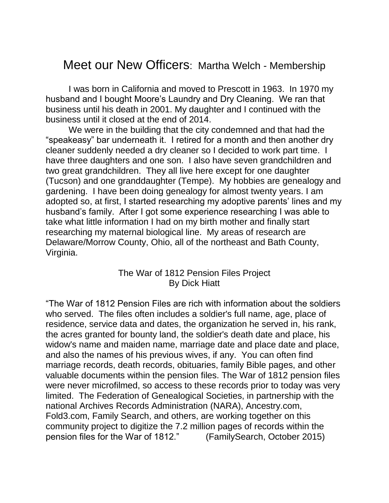## Meet our New Officers: Martha Welch - Membership

I was born in California and moved to Prescott in 1963. In 1970 my husband and I bought Moore's Laundry and Dry Cleaning. We ran that business until his death in 2001. My daughter and I continued with the business until it closed at the end of 2014.

We were in the building that the city condemned and that had the "speakeasy" bar underneath it. I retired for a month and then another dry cleaner suddenly needed a dry cleaner so I decided to work part time. I have three daughters and one son. I also have seven grandchildren and two great grandchildren. They all live here except for one daughter (Tucson) and one granddaughter (Tempe). My hobbies are genealogy and gardening. I have been doing genealogy for almost twenty years. I am adopted so, at first, I started researching my adoptive parents' lines and my husband's family. After I got some experience researching I was able to take what little information I had on my birth mother and finally start researching my maternal biological line. My areas of research are Delaware/Morrow County, Ohio, all of the northeast and Bath County, Virginia.

#### The War of 1812 Pension Files Project By Dick Hiatt

"The War of 1812 Pension Files are rich with information about the soldiers who served. The files often includes a soldier's full name, age, place of residence, service data and dates, the organization he served in, his rank, the acres granted for bounty land, the soldier's death date and place, his widow's name and maiden name, marriage date and place date and place, and also the names of his previous wives, if any. You can often find marriage records, death records, obituaries, family Bible pages, and other valuable documents within the pension files. The War of 1812 pension files were never microfilmed, so access to these records prior to today was very limited. The Federation of Genealogical Societies, in partnership with the national Archives Records Administration (NARA), Ancestry.com, Fold3.com, Family Search, and others, are working together on this community project to digitize the 7.2 million pages of records within the pension files for the War of 1812." (FamilySearch, October 2015)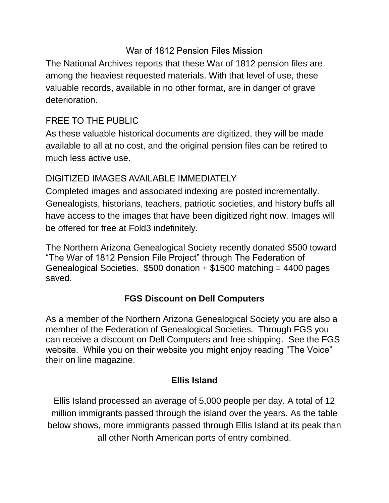#### War of 1812 Pension Files Mission

The National Archives reports that these War of 1812 pension files are among the heaviest requested materials. With that level of use, these valuable records, available in no other format, are in danger of grave deterioration.

#### FREE TO THE PUBLIC

As these valuable historical documents are digitized, they will be made available to all at no cost, and the original pension files can be retired to much less active use.

#### DIGITIZED IMAGES AVAILABLE IMMEDIATELY

Completed images and associated indexing are posted incrementally. Genealogists, historians, teachers, patriotic societies, and history buffs all have access to the images that have been digitized right [now.](http://go.fold3.com/1812pensions/) Images will be offered for free at Fold3 indefinitely.

The Northern Arizona Genealogical Society recently donated \$500 toward "The War of 1812 Pension File Project" through The Federation of Genealogical Societies. \$500 donation + \$1500 matching = 4400 pages saved.

#### **FGS Discount on Dell Computers**

As a member of the Northern Arizona Genealogical Society you are also a member of the Federation of Genealogical Societies. Through FGS you can receive a discount on Dell Computers and free shipping. See the FGS website. While you on their website you might enjoy reading "The Voice" their on line magazine.

#### **Ellis Island**

Ellis Island processed an average of 5,000 people per day. A total of 12 million immigrants passed through the island over the years. As the table below shows, more immigrants passed through Ellis Island at its peak than all other North American ports of entry combined.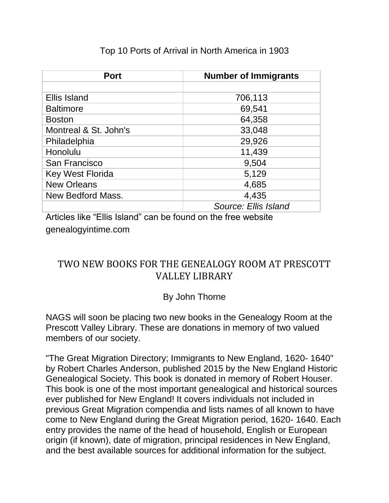| <b>Port</b>             | <b>Number of Immigrants</b> |
|-------------------------|-----------------------------|
|                         |                             |
| <b>Ellis Island</b>     | 706,113                     |
| <b>Baltimore</b>        | 69,541                      |
| <b>Boston</b>           | 64,358                      |
| Montreal & St. John's   | 33,048                      |
| Philadelphia            | 29,926                      |
| Honolulu                | 11,439                      |
| San Francisco           | 9,504                       |
| <b>Key West Florida</b> | 5,129                       |
| <b>New Orleans</b>      | 4,685                       |
| New Bedford Mass.       | 4,435                       |
|                         | Source: Ellis Island        |

#### Top 10 Ports of Arrival in North America in 1903

Articles like "Ellis Island" can be found on the free website genealogyintime.com

## TWO NEW BOOKS FOR THE GENEALOGY ROOM AT PRESCOTT VALLEY LIBRARY

#### By John Thorne

NAGS will soon be placing two new books in the Genealogy Room at the Prescott Valley Library. These are donations in memory of two valued members of our society.

"The Great Migration Directory; Immigrants to New England, 1620- 1640" by Robert Charles Anderson, published 2015 by the New England Historic Genealogical Society. This book is donated in memory of Robert Houser. This book is one of the most important genealogical and historical sources ever published for New England! It covers individuals not included in previous Great Migration compendia and lists names of all known to have come to New England during the Great Migration period, 1620- 1640. Each entry provides the name of the head of household, English or European origin (if known), date of migration, principal residences in New England, and the best available sources for additional information for the subject.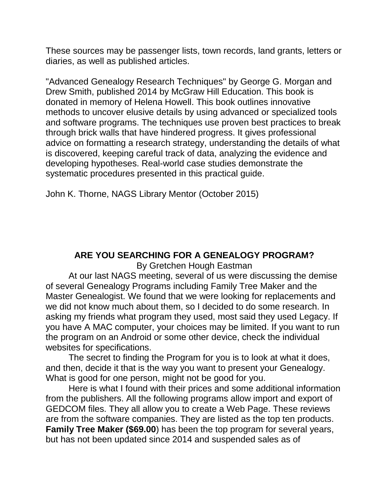These sources may be passenger lists, town records, land grants, letters or diaries, as well as published articles.

"Advanced Genealogy Research Techniques" by George G. Morgan and Drew Smith, published 2014 by McGraw Hill Education. This book is donated in memory of Helena Howell. This book outlines innovative methods to uncover elusive details by using advanced or specialized tools and software programs. The techniques use proven best practices to break through brick walls that have hindered progress. It gives professional advice on formatting a research strategy, understanding the details of what is discovered, keeping careful track of data, analyzing the evidence and developing hypotheses. Real-world case studies demonstrate the systematic procedures presented in this practical guide.

John K. Thorne, NAGS Library Mentor (October 2015)

#### **ARE YOU SEARCHING FOR A GENEALOGY PROGRAM?**

By Gretchen Hough Eastman

At our last NAGS meeting, several of us were discussing the demise of several Genealogy Programs including Family Tree Maker and the Master Genealogist. We found that we were looking for replacements and we did not know much about them, so I decided to do some research. In asking my friends what program they used, most said they used Legacy. If you have A MAC computer, your choices may be limited. If you want to run the program on an Android or some other device, check the individual websites for specifications.

The secret to finding the Program for you is to look at what it does, and then, decide it that is the way you want to present your Genealogy. What is good for one person, might not be good for you.

Here is what I found with their prices and some additional information from the publishers. All the following programs allow import and export of GEDCOM files. They all allow you to create a Web Page. These reviews are from the software companies. They are listed as the top ten products. **Family Tree Maker (\$69.00**) has been the top program for several years, but has not been updated since 2014 and suspended sales as of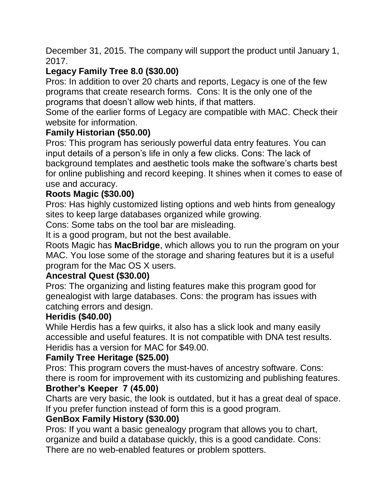December 31, 2015. The company will support the product until January 1, 2017.

## **Legacy Family Tree 8.0 (\$30.00)**

Pros: In addition to over 20 charts and reports, Legacy is one of the few programs that create research forms. Cons: It is the only one of the programs that doesn't allow web hints, if that matters.

Some of the earlier forms of Legacy are compatible with MAC. Check their website for information.

### **Family Historian (\$50.00)**

Pros: This program has seriously powerful data entry features. You can input details of a person's life in only a few clicks. Cons: The lack of background templates and aesthetic tools make the software's charts best for online publishing and record keeping. It shines when it comes to ease of use and accuracy.

#### **Roots Magic (\$30.00)**

Pros: Has highly customized listing options and web hints from genealogy sites to keep large databases organized while growing.

Cons: Some tabs on the tool bar are misleading.

It is a good program, but not the best available.

Roots Magic has **MacBridge**, which allows you to run the program on your MAC. You lose some of the storage and sharing features but it is a useful program for the Mac OS X users.

#### **Ancestral Quest (\$30.00)**

Pros: The organizing and listing features make this program good for genealogist with large databases. Cons: the program has issues with catching errors and design.

#### **Heridis (\$40.00)**

While Herdis has a few quirks, it also has a slick look and many easily accessible and useful features. It is not compatible with DNA test results. Heridis has a version for MAC for \$49.00.

#### **Family Tree Heritage (\$25.00)**

Pros: This program covers the must-haves of ancestry software. Cons: there is room for improvement with its customizing and publishing features.

### **Brother's Keeper 7 (45.00)**

Charts are very basic, the look is outdated, but it has a great deal of space. If you prefer function instead of form this is a good program.

#### **GenBox Family History (\$30.00)**

Pros: If you want a basic genealogy program that allows you to chart, organize and build a database quickly, this is a good candidate. Cons: There are no web-enabled features or problem spotters.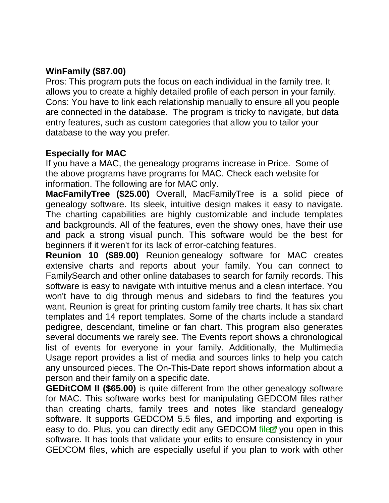#### **WinFamily (\$87.00)**

Pros: This program puts the focus on each individual in the family tree. It allows you to create a highly detailed profile of each person in your family. Cons: You have to link each relationship manually to ensure all you people are connected in the database. The program is tricky to navigate, but data entry features, such as custom categories that allow you to tailor your database to the way you prefer.

#### **Especially for MAC**

If you have a MAC, the genealogy programs increase in Price. Some of the above programs have programs for MAC. Check each website for information. The following are for MAC only.

**MacFamilyTree (\$25.00)** Overall, MacFamilyTree is a solid piece of genealogy software. Its sleek, intuitive design makes it easy to navigate. The charting capabilities are highly customizable and include templates and backgrounds. All of the features, even the showy ones, have their use and pack a strong visual punch. This software would be the best for beginners if it weren't for its lack of error-catching features.

**Reunion 10 (\$89.00)** Reunion genealogy software for MAC creates extensive charts and reports about your family. You can connect to FamilySearch and other online databases to search for family records. This software is easy to navigate with intuitive menus and a clean interface. You won't have to dig through menus and sidebars to find the features you want. Reunion is great for printing custom family tree charts. It has six chart templates and 14 report templates. Some of the charts include a standard pedigree, descendant, timeline or fan chart. This program also generates several documents we rarely see. The Events report shows a chronological list of events for everyone in your family. Additionally, the Multimedia Usage report provides a list of media and sources links to help you catch any unsourced pieces. The On-This-Date report shows information about a person and their family on a specific date.

**GEDitCOM II (\$65.00)** is quite different from the other genealogy software for MAC. This software works best for manipulating GEDCOM files rather than creating charts, family trees and notes like standard genealogy software. It supports GEDCOM 5.5 files, and importing and exporting is easy to do. Plus, you can directly edit any GEDCOM [file](http://genealogy-software-review.toptenreviews.com/mac-genealogy-software/geditcom-ii-review.html) you open in this software. It has tools that validate your edits to ensure consistency in your GEDCOM files, which are especially useful if you plan to work with other